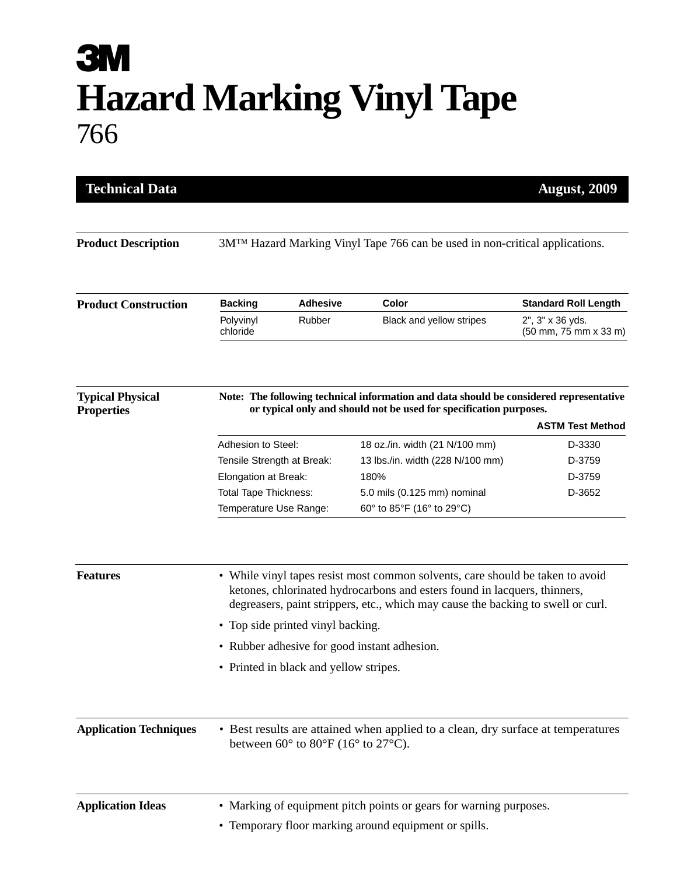## **3M Hazard Marking Vinyl Tape** 766

| <b>Technical Data</b><br><b>August, 2009</b> |                                                                                                                                                                                                                                                 |                                        |                                  |                                           |  |
|----------------------------------------------|-------------------------------------------------------------------------------------------------------------------------------------------------------------------------------------------------------------------------------------------------|----------------------------------------|----------------------------------|-------------------------------------------|--|
|                                              |                                                                                                                                                                                                                                                 |                                        |                                  |                                           |  |
| <b>Product Description</b>                   | 3M <sup>TM</sup> Hazard Marking Vinyl Tape 766 can be used in non-critical applications.                                                                                                                                                        |                                        |                                  |                                           |  |
| <b>Product Construction</b>                  | <b>Backing</b>                                                                                                                                                                                                                                  | <b>Adhesive</b>                        | Color                            | <b>Standard Roll Length</b>               |  |
|                                              | Polyvinyl<br>chloride                                                                                                                                                                                                                           | Rubber                                 | Black and yellow stripes         | 2", 3" x 36 yds.<br>(50 mm, 75 mm x 33 m) |  |
| <b>Typical Physical</b><br><b>Properties</b> | Note: The following technical information and data should be considered representative<br>or typical only and should not be used for specification purposes.                                                                                    |                                        |                                  |                                           |  |
|                                              |                                                                                                                                                                                                                                                 |                                        |                                  | <b>ASTM Test Method</b>                   |  |
|                                              | Adhesion to Steel:                                                                                                                                                                                                                              |                                        | 18 oz./in. width (21 N/100 mm)   | D-3330                                    |  |
|                                              | Tensile Strength at Break:                                                                                                                                                                                                                      |                                        | 13 lbs./in. width (228 N/100 mm) | D-3759                                    |  |
|                                              | Elongation at Break:                                                                                                                                                                                                                            |                                        | 180%                             | D-3759                                    |  |
|                                              | <b>Total Tape Thickness:</b>                                                                                                                                                                                                                    |                                        | 5.0 mils (0.125 mm) nominal      | D-3652                                    |  |
|                                              | Temperature Use Range:                                                                                                                                                                                                                          |                                        | 60° to 85°F (16° to 29°C)        |                                           |  |
| <b>Features</b>                              | • While vinyl tapes resist most common solvents, care should be taken to avoid<br>ketones, chlorinated hydrocarbons and esters found in lacquers, thinners,<br>degreasers, paint strippers, etc., which may cause the backing to swell or curl. |                                        |                                  |                                           |  |
|                                              | • Top side printed vinyl backing.                                                                                                                                                                                                               |                                        |                                  |                                           |  |
|                                              | • Rubber adhesive for good instant adhesion.                                                                                                                                                                                                    |                                        |                                  |                                           |  |
|                                              |                                                                                                                                                                                                                                                 | • Printed in black and yellow stripes. |                                  |                                           |  |
| <b>Application Techniques</b>                | • Best results are attained when applied to a clean, dry surface at temperatures<br>between $60^{\circ}$ to $80^{\circ}$ F (16° to 27°C).                                                                                                       |                                        |                                  |                                           |  |
| <b>Application Ideas</b>                     | • Marking of equipment pitch points or gears for warning purposes.                                                                                                                                                                              |                                        |                                  |                                           |  |
|                                              | • Temporary floor marking around equipment or spills.                                                                                                                                                                                           |                                        |                                  |                                           |  |